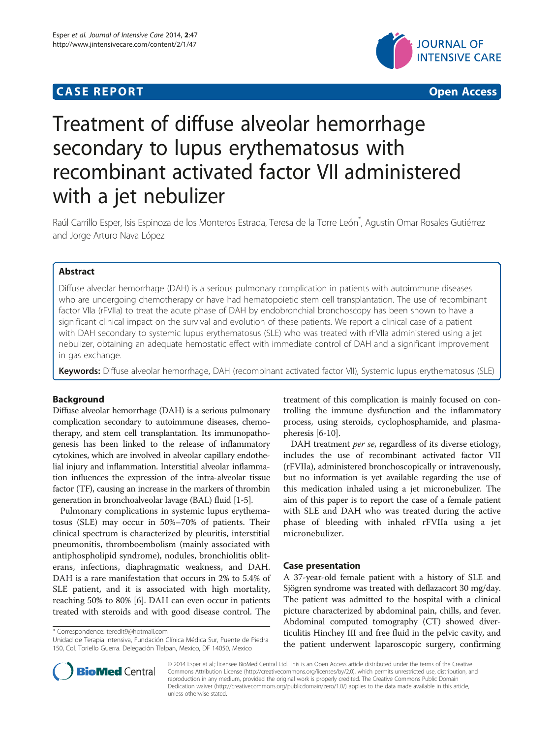# **CASE REPORT CASE REPORT CASE ACCESS**



# Treatment of diffuse alveolar hemorrhage secondary to lupus erythematosus with recombinant activated factor VII administered with a jet nebulizer

Raúl Carrillo Esper, Isis Espinoza de los Monteros Estrada, Teresa de la Torre León\* , Agustín Omar Rosales Gutiérrez and Jorge Arturo Nava López

# Abstract

Diffuse alveolar hemorrhage (DAH) is a serious pulmonary complication in patients with autoimmune diseases who are undergoing chemotherapy or have had hematopoietic stem cell transplantation. The use of recombinant factor VIIa (rFVIIa) to treat the acute phase of DAH by endobronchial bronchoscopy has been shown to have a significant clinical impact on the survival and evolution of these patients. We report a clinical case of a patient with DAH secondary to systemic lupus erythematosus (SLE) who was treated with rFVIIa administered using a jet nebulizer, obtaining an adequate hemostatic effect with immediate control of DAH and a significant improvement in gas exchange.

Keywords: Diffuse alveolar hemorrhage, DAH (recombinant activated factor VII), Systemic lupus erythematosus (SLE)

# Background

Diffuse alveolar hemorrhage (DAH) is a serious pulmonary complication secondary to autoimmune diseases, chemotherapy, and stem cell transplantation. Its immunopathogenesis has been linked to the release of inflammatory cytokines, which are involved in alveolar capillary endothelial injury and inflammation. Interstitial alveolar inflammation influences the expression of the intra-alveolar tissue factor (TF), causing an increase in the markers of thrombin generation in bronchoalveolar lavage (BAL) fluid [\[1-5](#page-3-0)].

Pulmonary complications in systemic lupus erythematosus (SLE) may occur in 50%–70% of patients. Their clinical spectrum is characterized by pleuritis, interstitial pneumonitis, thromboembolism (mainly associated with antiphospholipid syndrome), nodules, bronchiolitis obliterans, infections, diaphragmatic weakness, and DAH. DAH is a rare manifestation that occurs in 2% to 5.4% of SLE patient, and it is associated with high mortality, reaching 50% to 80% [[6\]](#page-3-0). DAH can even occur in patients treated with steroids and with good disease control. The

\* Correspondence: [teredlt9@hotmail.com](mailto:teredlt9@hotmail.com)

Unidad de Terapia Intensiva, Fundación Clínica Médica Sur, Puente de Piedra 150, Col. Toriello Guerra. Delegación Tlalpan, Mexico, DF 14050, Mexico



DAH treatment per se, regardless of its diverse etiology, includes the use of recombinant activated factor VII (rFVIIa), administered bronchoscopically or intravenously, but no information is yet available regarding the use of this medication inhaled using a jet micronebulizer. The aim of this paper is to report the case of a female patient with SLE and DAH who was treated during the active phase of bleeding with inhaled rFVIIa using a jet micronebulizer.

# Case presentation

A 37-year-old female patient with a history of SLE and Sjögren syndrome was treated with deflazacort 30 mg/day. The patient was admitted to the hospital with a clinical picture characterized by abdominal pain, chills, and fever. Abdominal computed tomography (CT) showed diverticulitis Hinchey III and free fluid in the pelvic cavity, and the patient underwent laparoscopic surgery, confirming



© 2014 Esper et al.; licensee BioMed Central Ltd. This is an Open Access article distributed under the terms of the Creative Commons Attribution License [\(http://creativecommons.org/licenses/by/2.0\)](http://creativecommons.org/licenses/by/2.0), which permits unrestricted use, distribution, and reproduction in any medium, provided the original work is properly credited. The Creative Commons Public Domain Dedication waiver [\(http://creativecommons.org/publicdomain/zero/1.0/](http://creativecommons.org/publicdomain/zero/1.0/)) applies to the data made available in this article, unless otherwise stated.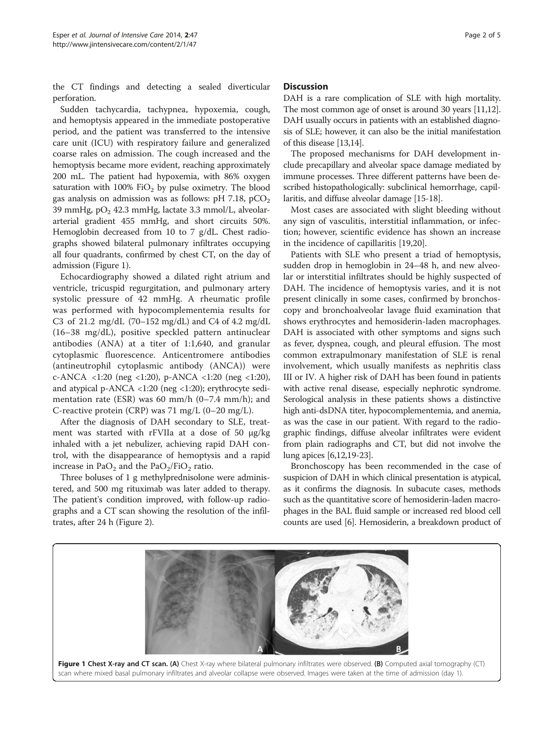the CT findings and detecting a sealed diverticular perforation.

Sudden tachycardia, tachypnea, hypoxemia, cough, and hemoptysis appeared in the immediate postoperative period, and the patient was transferred to the intensive care unit (ICU) with respiratory failure and generalized coarse rales on admission. The cough increased and the hemoptysis became more evident, reaching approximately 200 mL. The patient had hypoxemia, with 86% oxygen saturation with  $100\%$  FiO<sub>2</sub> by pulse oximetry. The blood gas analysis on admission was as follows:  $pH$  7.18,  $pCO<sub>2</sub>$ 39 mmHg,  $pO<sub>2</sub>$  42.3 mmHg, lactate 3.3 mmol/L, alveolararterial gradient 455 mmHg, and short circuits 50%. Hemoglobin decreased from 10 to 7 g/dL. Chest radiographs showed bilateral pulmonary infiltrates occupying all four quadrants, confirmed by chest CT, on the day of admission (Figure 1).

Echocardiography showed a dilated right atrium and ventricle, tricuspid regurgitation, and pulmonary artery systolic pressure of 42 mmHg. A rheumatic profile was performed with hypocomplementemia results for C3 of 21.2 mg/dL (70–152 mg/dL) and C4 of 4.2 mg/dL (16–38 mg/dL), positive speckled pattern antinuclear antibodies (ANA) at a titer of 1:1,640, and granular cytoplasmic fluorescence. Anticentromere antibodies (antineutrophil cytoplasmic antibody (ANCA)) were c-ANCA <1:20 (neg <1:20), p-ANCA <1:20 (neg <1:20), and atypical p-ANCA <1:20 (neg <1:20); erythrocyte sedimentation rate (ESR) was 60 mm/h (0–7.4 mm/h); and C-reactive protein (CRP) was  $71 \text{ mg/L}$  (0–20 mg/L).

After the diagnosis of DAH secondary to SLE, treatment was started with rFVIIa at a dose of 50 μg/kg inhaled with a jet nebulizer, achieving rapid DAH control, with the disappearance of hemoptysis and a rapid increase in PaO<sub>2</sub> and the PaO<sub>2</sub>/FiO<sub>2</sub> ratio.

Three boluses of 1 g methylprednisolone were administered, and 500 mg rituximab was later added to therapy. The patient's condition improved, with follow-up radiographs and a CT scan showing the resolution of the infiltrates, after 24 h (Figure [2](#page-2-0)).

DAH is a rare complication of SLE with high mortality. The most common age of onset is around 30 years [\[11,12](#page-3-0)]. DAH usually occurs in patients with an established diagnosis of SLE; however, it can also be the initial manifestation of this disease [\[13,14](#page-3-0)].

The proposed mechanisms for DAH development include precapillary and alveolar space damage mediated by immune processes. Three different patterns have been described histopathologically: subclinical hemorrhage, capillaritis, and diffuse alveolar damage [\[15-18\]](#page-3-0).

Most cases are associated with slight bleeding without any sign of vasculitis, interstitial inflammation, or infection; however, scientific evidence has shown an increase in the incidence of capillaritis [\[19,20\]](#page-3-0).

Patients with SLE who present a triad of hemoptysis, sudden drop in hemoglobin in 24–48 h, and new alveolar or interstitial infiltrates should be highly suspected of DAH. The incidence of hemoptysis varies, and it is not present clinically in some cases, confirmed by bronchoscopy and bronchoalveolar lavage fluid examination that shows erythrocytes and hemosiderin-laden macrophages. DAH is associated with other symptoms and signs such as fever, dyspnea, cough, and pleural effusion. The most common extrapulmonary manifestation of SLE is renal involvement, which usually manifests as nephritis class III or IV. A higher risk of DAH has been found in patients with active renal disease, especially nephrotic syndrome. Serological analysis in these patients shows a distinctive high anti-dsDNA titer, hypocomplementemia, and anemia, as was the case in our patient. With regard to the radiographic findings, diffuse alveolar infiltrates were evident from plain radiographs and CT, but did not involve the lung apices [[6,12,19-23](#page-3-0)].

Bronchoscopy has been recommended in the case of suspicion of DAH in which clinical presentation is atypical, as it confirms the diagnosis. In subacute cases, methods such as the quantitative score of hemosiderin-laden macrophages in the BAL fluid sample or increased red blood cell counts are used [\[6](#page-3-0)]. Hemosiderin, a breakdown product of

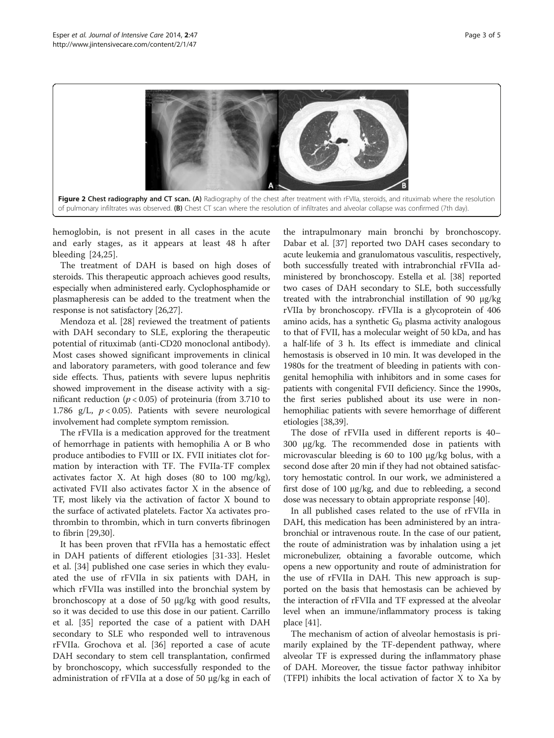<span id="page-2-0"></span>

hemoglobin, is not present in all cases in the acute and early stages, as it appears at least 48 h after bleeding [[24,25](#page-4-0)].

The treatment of DAH is based on high doses of steroids. This therapeutic approach achieves good results, especially when administered early. Cyclophosphamide or plasmapheresis can be added to the treatment when the response is not satisfactory [[26,27](#page-4-0)].

Mendoza et al. [\[28](#page-4-0)] reviewed the treatment of patients with DAH secondary to SLE, exploring the therapeutic potential of rituximab (anti-CD20 monoclonal antibody). Most cases showed significant improvements in clinical and laboratory parameters, with good tolerance and few side effects. Thus, patients with severe lupus nephritis showed improvement in the disease activity with a significant reduction ( $p < 0.05$ ) of proteinuria (from 3.710 to 1.786 g/L,  $p < 0.05$ ). Patients with severe neurological involvement had complete symptom remission.

The rFVIIa is a medication approved for the treatment of hemorrhage in patients with hemophilia A or B who produce antibodies to FVIII or IX. FVII initiates clot formation by interaction with TF. The FVIIa-TF complex activates factor X. At high doses (80 to 100 mg/kg), activated FVII also activates factor X in the absence of TF, most likely via the activation of factor X bound to the surface of activated platelets. Factor Xa activates prothrombin to thrombin, which in turn converts fibrinogen to fibrin [\[29,30\]](#page-4-0).

It has been proven that rFVIIa has a hemostatic effect in DAH patients of different etiologies [\[31](#page-4-0)-[33\]](#page-4-0). Heslet et al. [[34\]](#page-4-0) published one case series in which they evaluated the use of rFVIIa in six patients with DAH, in which rFVIIa was instilled into the bronchial system by bronchoscopy at a dose of 50 μg/kg with good results, so it was decided to use this dose in our patient. Carrillo et al. [[35\]](#page-4-0) reported the case of a patient with DAH secondary to SLE who responded well to intravenous rFVIIa. Grochova et al. [[36\]](#page-4-0) reported a case of acute DAH secondary to stem cell transplantation, confirmed by bronchoscopy, which successfully responded to the administration of rFVIIa at a dose of 50 μg/kg in each of

the intrapulmonary main bronchi by bronchoscopy. Dabar et al. [[37\]](#page-4-0) reported two DAH cases secondary to acute leukemia and granulomatous vasculitis, respectively, both successfully treated with intrabronchial rFVIIa administered by bronchoscopy. Estella et al. [\[38\]](#page-4-0) reported two cases of DAH secondary to SLE, both successfully treated with the intrabronchial instillation of 90 μg/kg rVIIa by bronchoscopy. rFVIIa is a glycoprotein of 406 amino acids, has a synthetic  $G_0$  plasma activity analogous to that of FVII, has a molecular weight of 50 kDa, and has a half-life of 3 h. Its effect is immediate and clinical hemostasis is observed in 10 min. It was developed in the 1980s for the treatment of bleeding in patients with congenital hemophilia with inhibitors and in some cases for patients with congenital FVII deficiency. Since the 1990s, the first series published about its use were in nonhemophiliac patients with severe hemorrhage of different etiologies [[38,39](#page-4-0)].

The dose of rFVIIa used in different reports is 40– 300 μg/kg. The recommended dose in patients with microvascular bleeding is 60 to 100 μg/kg bolus, with a second dose after 20 min if they had not obtained satisfactory hemostatic control. In our work, we administered a first dose of 100 μg/kg, and due to rebleeding, a second dose was necessary to obtain appropriate response [[40](#page-4-0)].

In all published cases related to the use of rFVIIa in DAH, this medication has been administered by an intrabronchial or intravenous route. In the case of our patient, the route of administration was by inhalation using a jet micronebulizer, obtaining a favorable outcome, which opens a new opportunity and route of administration for the use of rFVIIa in DAH. This new approach is supported on the basis that hemostasis can be achieved by the interaction of rFVIIa and TF expressed at the alveolar level when an immune/inflammatory process is taking place [\[41\]](#page-4-0).

The mechanism of action of alveolar hemostasis is primarily explained by the TF-dependent pathway, where alveolar TF is expressed during the inflammatory phase of DAH. Moreover, the tissue factor pathway inhibitor (TFPI) inhibits the local activation of factor X to Xa by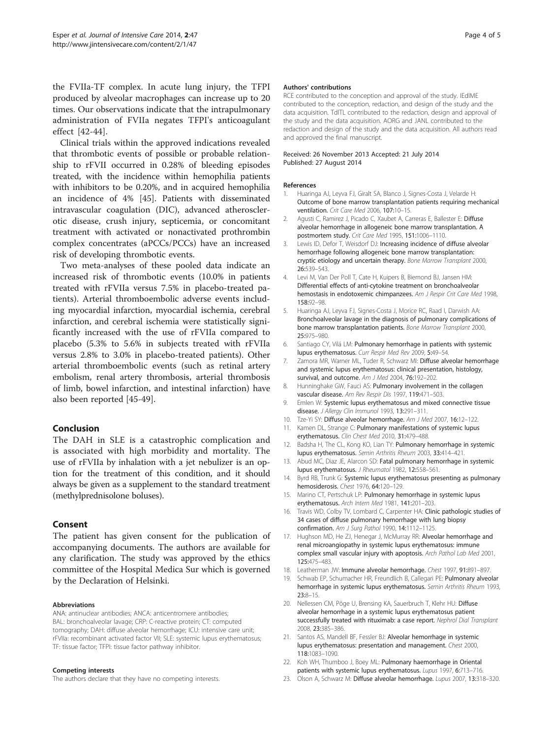<span id="page-3-0"></span>the FVIIa-TF complex. In acute lung injury, the TFPI produced by alveolar macrophages can increase up to 20 times. Our observations indicate that the intrapulmonary administration of FVIIa negates TFPI's anticoagulant effect [[42-44](#page-4-0)].

Clinical trials within the approved indications revealed that thrombotic events of possible or probable relationship to rFVII occurred in 0.28% of bleeding episodes treated, with the incidence within hemophilia patients with inhibitors to be 0.20%, and in acquired hemophilia an incidence of 4% [\[45\]](#page-4-0). Patients with disseminated intravascular coagulation (DIC), advanced atherosclerotic disease, crush injury, septicemia, or concomitant treatment with activated or nonactivated prothrombin complex concentrates (aPCCs/PCCs) have an increased risk of developing thrombotic events.

Two meta-analyses of these pooled data indicate an increased risk of thrombotic events (10.0% in patients treated with rFVIIa versus 7.5% in placebo-treated patients). Arterial thromboembolic adverse events including myocardial infarction, myocardial ischemia, cerebral infarction, and cerebral ischemia were statistically significantly increased with the use of rFVIIa compared to placebo (5.3% to 5.6% in subjects treated with rFVIIa versus 2.8% to 3.0% in placebo-treated patients). Other arterial thromboembolic events (such as retinal artery embolism, renal artery thrombosis, arterial thrombosis of limb, bowel infarction, and intestinal infarction) have also been reported [[45-49\]](#page-4-0).

### Conclusion

The DAH in SLE is a catastrophic complication and is associated with high morbidity and mortality. The use of rFVIIa by inhalation with a jet nebulizer is an option for the treatment of this condition, and it should always be given as a supplement to the standard treatment (methylprednisolone boluses).

## Consent

The patient has given consent for the publication of accompanying documents. The authors are available for any clarification. The study was approved by the ethics committee of the Hospital Medica Sur which is governed by the Declaration of Helsinki.

#### Abbreviations

ANA: antinuclear antibodies; ANCA: anticentromere antibodies; BAL: bronchoalveolar lavage; CRP: C-reactive protein; CT: computed tomography; DAH: diffuse alveolar hemorrhage; ICU: intensive care unit; rFVIIa: recombinant activated factor VII; SLE: systemic lupus erythematosus; TF: tissue factor; TFPI: tissue factor pathway inhibitor.

#### Competing interests

The authors declare that they have no competing interests.

#### Authors' contributions

RCE contributed to the conception and approval of the study. IEdlME contributed to the conception, redaction, and design of the study and the data acquisition. TdlTL contributed to the redaction, design and approval of the study and the data acquisition. AORG and JANL contributed to the redaction and design of the study and the data acquisition. All authors read and approved the final manuscript.

#### Received: 26 November 2013 Accepted: 21 July 2014 Published: 27 August 2014

#### References

- 1. Huaringa AJ, Leyva FJ, Giralt SA, Blanco J, Signes-Costa J, Velarde H: Outcome of bone marrow transplantation patients requiring mechanical ventilation. Crit Care Med 2006, 107:10–15.
- 2. Agusti C, Ramirez J, Picado C, Xaubet A, Carreras E, Ballester E: Diffuse alveolar hemorrhage in allogeneic bone marrow transplantation. A postmortem study. Crit Care Med 1995, 151:1006–1110.
- 3. Lewis ID, Defor T, Weisdorf DJ: Increasing incidence of diffuse alveolar hemorrhage following allogeneic bone marrow transplantation: cryptic etiology and uncertain therapy. Bone Marrow Transplant 2000, 26:539–543.
- 4. Levi M, Van Der Poll T, Cate H, Kuipers B, Biemond BJ, Jansen HM: Differential effects of anti-cytokine treatment on bronchoalveolar hemostasis in endotoxemic chimpanzees. Am J Respir Crit Care Med 1998, 158:92–98.
- 5. Huaringa AJ, Leyva FJ, Signes-Costa J, Morice RC, Raad I, Darwish AA: Bronchoalveolar lavage in the diagnosis of pulmonary complications of bone marrow transplantation patients. Bone Marrow Transplant 2000, 25:975–980.
- 6. Santiago CY, Vilá LM: Pulmonary hemorrhage in patients with systemic lupus erythematosus. Curr Respir Med Rev 2009, 5:49–54.
- 7. Zamora MR, Warner ML, Tuder R, Schwarz MI: Diffuse alveolar hemorrhage and systemic lupus erythematosus: clinical presentation, histology, survival, and outcome. Am J Med 2004, 76:192-202.
- 8. Hunninghake GW, Fauci AS: Pulmonary involvement in the collagen vascular disease. Am Rev Respir Dis 1997, 119:471-503.
- 9. Emlen W: Systemic lupus erythematosus and mixed connective tissue disease. J Allergy Clin Immunol 1993, 13:291-311.
- 10. Tze-Yi SY: Diffuse alveolar hemorrhage. Am J Med 2007, 16:12-122.
- 11. Kamen DL, Strange C: Pulmonary manifestations of systemic lupus erythematosus. Clin Chest Med 2010, 31:479–488.
- 12. Badsha H, The CL, Kong KO, Lian TY: Pulmonary hemorrhage in systemic lupus erythematosus. Semin Arthritis Rheum 2003, 33:414–421.
- 13. Abud MC, Diaz JE, Alarcon SD: Fatal pulmonary hemorrhage in systemic lupus erythematosus. J Rheumatol 1982, 12:558–561.
- 14. Byrd RB, Trunk G: Systemic lupus erythematosus presenting as pulmonary hemosiderosis. Chest 1976, 64:120–129.
- 15. Marino CT, Pertschuk LP: Pulmonary hemorrhage in systemic lupus erythematosus. Arch Intern Med 1981, 141:201–203.
- 16. Travis WD, Colby TV, Lombard C, Carpenter HA: Clinic pathologic studies of 34 cases of diffuse pulmonary hemorrhage with lung biopsy confirmation. Am J Surg Pathol 1990, 14:1112–1125.
- 17. Hughson MD, He ZJ, Henegar J, McMurray RR: Alveolar hemorrhage and renal microangiopathy in systemic lupus erythematosus: immune complex small vascular injury with apoptosis. Arch Pathol Lab Med 2001, 125:475–483.
- 18. Leatherman JW: Immune alveolar hemorrhage. Chest 1997, 91:891–897.
- 19. Schwab EP, Schumacher HR, Freundlich B, Callegari PE: Pulmonary alveolar hemorrhage in systemic lupus erythematosus. Semin Arthritis Rheum 1993, 23:8–15.
- 20. Nellessen CM, Pöge U, Brensing KA, Sauerbruch T, Klehr HU: Diffuse alveolar hemorrhage in a systemic lupus erythematosus patient successfully treated with rituximab: a case report. Nephrol Dial Transplant 2008, 23:385–386.
- 21. Santos AS, Mandell BF, Fessler BJ: Alveolar hemorrhage in systemic lupus erythematosus: presentation and management. Chest 2000, 118:1083–1090.
- 22. Koh WH, Thumboo J, Boey ML: Pulmonary haemorrhage in Oriental patients with systemic lupus erythematosus. Lupus 1997, 6:713–716.
- 23. Olson A, Schwarz M: Diffuse alveolar hemorrhage. Lupus 2007, 13:318-320.